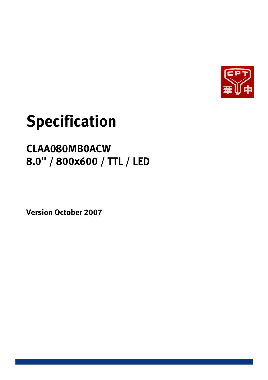

# **Specification**

# **CLAA080MB0ACW 8.0" / 800x600 / TTL / LED**

**Version October 2007**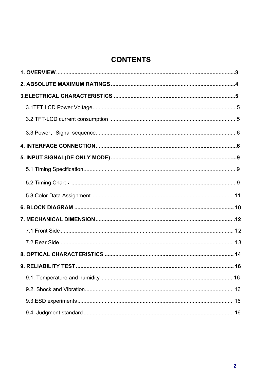# **CONTENTS**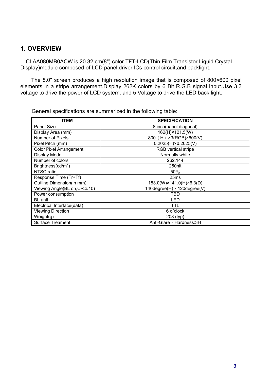### **1. OVERVIEW**

CLAA080MB0ACW is 20.32 cm(8") color TFT-LCD(Thin Film Transistor Liquid Crystal Display)module composed of LCD panel,driver ICs,control circuit,and backlight.

The 8.0" screen produces a high resolution image that is composed of 800×600 pixel elements in a stripe arrangement.Display 262K colors by 6 Bit R.G.B signal input.Use 3.3 voltage to drive the power of LCD system, and 5 Voltage to drive the LED back light.

| <b>ITEM</b>                        | <b>SPECIFICATION</b>         |
|------------------------------------|------------------------------|
| Panel Size                         | 8 inch(panel diagonal)       |
| Display Area (mm)                  | 162(H)×121.5(W)              |
| Number of Pixels                   | 800 (H) ×3(RGB)×600(V)       |
| Pixel Pitch (mm)                   | $0.2025(H) \times 0.2025(V)$ |
| <b>Color Pixel Arrangement</b>     | <b>RGB</b> vertical stripe   |
| Display Mode                       | Normally white               |
| Number of colors                   | 262,144                      |
| Brightness $(cd/m^2)$              | 250nit                       |
| NTSC ratio                         | 50%                          |
| Response Time (Tr+Tf)              | 25 <sub>ms</sub>             |
| Outline Dimension(in mm)           | 183.0(W)×141.0(H)×6.3(D)     |
| Viewing Angle(BL on, $CR \ge 10$ ) | 140degree(H) · 120degree(V)  |
| Power consumption                  | TBD                          |
| BL unit                            | LED                          |
| Electrical Interface(data)         | TTL                          |
| <b>Viewing Direction</b>           | 6 o'clock                    |
| Weight(g)                          | 208 (typ)                    |
| Surface Treament                   | Anti-Glare, Hardness: 3H     |

General specifications are summarized in the following table: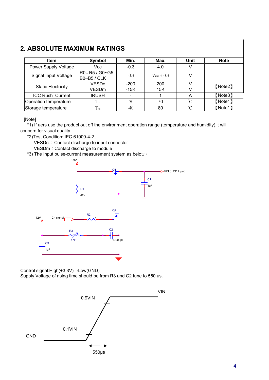# **2. ABSOLUTE MAXIMUM RATINGS**

| <b>Item</b>               | Symbol                              | Min.                     | Max.               | Unit     | <b>Note</b> |
|---------------------------|-------------------------------------|--------------------------|--------------------|----------|-------------|
| Power Supply Voltage      | Vcc                                 | $-0.3$                   | 4.0                |          |             |
| Signal Input Voltage      | R0~R5 / G0~G5<br><b>B0~B5 / CLK</b> | $-0.3$                   | $\text{Vcc} + 0.3$ |          |             |
| <b>Static Electricity</b> | VESDc                               | $-200$                   | 200                |          | [Note2]     |
|                           | VESDm                               | $-15K$                   | 15K                |          |             |
| <b>ICC Rush Current</b>   | <b>IRUSH</b>                        | $\overline{\phantom{a}}$ |                    | Α        | [Note3]     |
| Operation temperature     | $\perp$ op                          | $-30$                    | 70                 | n°       | [Note1]     |
| Storage temperature       | $T_{\text{stg}}$                    | $-40$                    | 80                 | $\gamma$ | [Note1]     |

[Note]

\*1) If uers use the product out off the environment operation range (temperature and humidity),it will concern for visual quality.

\*2)Test Condition: IEC 61000-4-2 ,

VESDc : Contact discharge to input connector

VESDm: Contact discharge to module

\*3) The Input pulse-current measurement system as below:



Control signal: $High(+3.3V) \rightarrow Low(GND)$ 

Supply Voltage of rising time should be from R3 and C2 tune to 550 us.

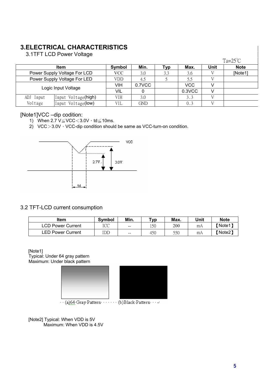# **3.ELECTRICAL CHARACTERISTICS**

3.1TFT LCD Power Voltage

|           |                              |        |        |        |      |      | $Ta=25^{\circ}C$ |
|-----------|------------------------------|--------|--------|--------|------|------|------------------|
|           | <b>Item</b>                  | Symbol | Min.   | Typ    | Max. | Unit | <b>Note</b>      |
|           | Power Supply Voltage For LCD | VCC    | 3.0    | 3.3    | 3.6  |      | [Note1]          |
|           | Power Supply Voltage For LED | VDD    | 4.5    |        | 5.5  |      |                  |
|           | Logic Input Voltage          | VIH    | 0.7VCC |        | VCC  |      |                  |
|           | <b>VIL</b>                   |        |        | 0.3VCC |      |      |                  |
| ADJ Input | Input Voltage(high)          | VIH    | 3.0    |        | 3.3  |      |                  |
| Voltage   | Input Voltage(low)           | VIL    | GND    |        | 0.3  |      |                  |

#### [Note1]VCC –dip codition:

- 1) When 2.7  $V \leq VCC < 3.0V \cdot td \leq 10ms$ .
- 2) VCC $>3.0V$ <sup>,</sup> VCC-dip condition should be same as VCC-turn-on condition.



#### 3.2 TFT-LCD current consumption

| ltem                     | <b>Symbol</b> | Min.                                           | Typ | Max. | Unit | <b>Note</b> |
|--------------------------|---------------|------------------------------------------------|-----|------|------|-------------|
| <b>LCD Power Current</b> | ICC           | $\sim$                                         | 150 | 200  | mA   | (Note1)     |
| <b>LED Power Current</b> | IDD           | $\hspace{0.1mm}-\hspace{0.1mm}-\hspace{0.1mm}$ | 450 | 550  | mA   | 【Note2】     |

#### [Note1]

Typical: Under 64 gray pattern Maximum: Under black pattern



 $\cdots$  (a) 64 Gray Pattern  $\cdots \cdots$  (b) Black Pattern  $\cdots \ast$ 

 [Note2] Typical: When VDD is 5V Maximum: When VDD is 4.5V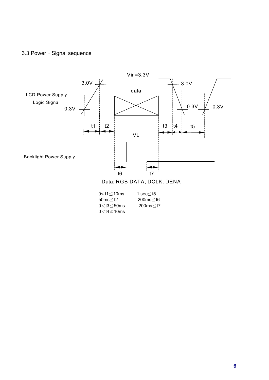# 3.3 Power · Signal sequence



| 0< t1≤10ms                             | 1 sec≤t5 |
|----------------------------------------|----------|
| 50ms≤t2                                | 200ms≤t6 |
| $0\!<\!t3\!\leq\!50\mathsf{ms}$        | 200ms≤t7 |
| 0 <t4≦10ms< td=""><td></td></t4≦10ms<> |          |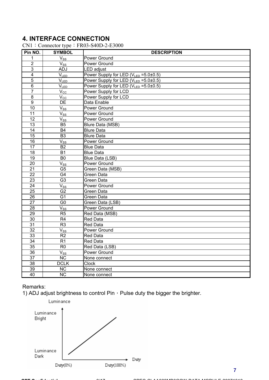# **4. INTERFACE CONNECTION**

#### $CN1:$  Connector type: FR03-S40D-2-E3000

| Pin NO.                 | <b>SYMBOL</b>          | <b>DESCRIPTION</b>                    |
|-------------------------|------------------------|---------------------------------------|
| 1                       | $V_{SS}$               | Power Ground                          |
| $\overline{2}$          | $V_{SS}$               | Power Ground                          |
| $\overline{3}$          | ADJ                    | LED adjust                            |
| $\overline{\mathbf{4}}$ | $V_{LED}$              | Power Supply for LED (VLED = 5.0±0.5) |
| 5                       | $V_{LED}$              | Power Supply for LED (VLED = 5.0±0.5) |
| 6                       | V <sub>LED</sub>       | Power Supply for LED (VLED = 5.0±0.5) |
| $\overline{7}$          | $V_{\rm CC}$           | Power Supply for LCD                  |
| $\overline{8}$          | $V_{\rm CC}$           | Power Supply for LCD                  |
| $\overline{9}$          | <b>DE</b>              | Data Enable                           |
| 10                      | $V_{SS}$               | Power Ground                          |
| 11                      | $V_{SS}$               | Power Ground                          |
| 12                      | $V_{ss}$               | Power Ground                          |
| $\overline{13}$         | B5                     | Blure Data (MSB)                      |
| 14                      | <b>B4</b>              | <b>Blure Data</b>                     |
| $\overline{15}$         | $\overline{B3}$        | <b>Blure Data</b>                     |
| 16                      | $V_{SS}$               | Power Ground                          |
| $\overline{17}$         | <b>B2</b>              | <b>Blue Data</b>                      |
| $\overline{18}$         | <b>B1</b>              | <b>Blue Data</b>                      |
| 19                      | B <sub>0</sub>         | Blue Data (LSB)                       |
| $\overline{20}$         | $V_{SS}$               | Power Ground                          |
| 21                      | G <sub>5</sub>         | Green Data (MSB)                      |
| 22                      | G4                     | Green Data                            |
| 23                      | G <sub>3</sub>         | <b>Green Data</b>                     |
| 24                      | $V_{SS}$               | <b>Power Ground</b>                   |
| $\overline{25}$         | G <sub>2</sub>         | Green Data                            |
| $\overline{26}$         | G <sub>1</sub>         | Green Data                            |
| 27                      | G <sub>0</sub>         | Green Data (LSB)                      |
| $\overline{28}$         | $\overline{V}_{SS}$    | Power Ground                          |
| 29                      | R <sub>5</sub>         | Red Data (MSB)                        |
| 30                      | R <sub>4</sub>         | <b>Red Data</b>                       |
| 31                      | R <sub>3</sub>         | <b>Red Data</b>                       |
| $\overline{32}$         | $V_{SS}$               | Power Ground                          |
| 33                      | R2                     | <b>Red Data</b>                       |
| $\overline{34}$         | R <sub>1</sub>         | <b>Red Data</b>                       |
| $\overline{35}$         | R <sub>0</sub>         | Red Data (LSB)                        |
| 36                      | $V_{SS}$               | Power Ground                          |
| 37                      | <b>NC</b>              | None connect                          |
| 38                      | <b>DCLK</b>            | <b>Clock</b>                          |
| 39                      | NC                     | None connect                          |
| $\overline{40}$         | $\overline{\text{NC}}$ | None connect                          |

#### Remarks:

1) ADJ adjust brightness to control Pin, Pulse duty the bigger the brighter.

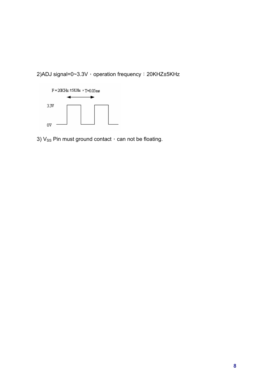2)ADJ signal=0~3.3V > operation frequency : 20KHZ±5KHz



3)  $V_{SS}$  Pin must ground contact  $\cdot$  can not be floating.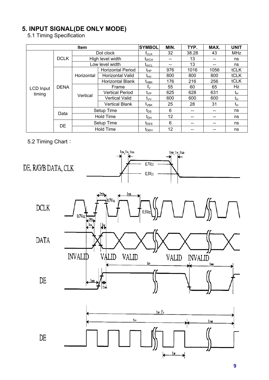# **5. INPUT SIGNAL(DE ONLY MODE)**

5.1 Timing Specification

|                  | <b>SYMBOL</b> | MIN.       | TYP.                     | MAX.                           | <b>UNIT</b> |       |      |             |
|------------------|---------------|------------|--------------------------|--------------------------------|-------------|-------|------|-------------|
|                  |               |            | Dot clock                | $t_{\scriptstyle\textrm{CLK}}$ | 32          | 38.28 | 43   | <b>MHz</b>  |
|                  | <b>DCLK</b>   |            | High level width         | <u>t<sub>wсн</sub></u>         | $- -$       | 13    | --   | ns          |
|                  |               |            | Low level width          | t <sub>WCL</sub>               |             | 13    | --   | ns          |
|                  |               |            | <b>Horizontal Period</b> | t <sub>НР</sub>                | 976         | 1016  | 1056 | tCLK        |
|                  |               | Horizontal | Horizontal Valid         | t <sub>HV</sub>                | 800         | 800   | 800  | <b>tCLK</b> |
|                  | <b>DENA</b>   |            | <b>Horizontal Blank</b>  | t <sub>HBK</sub>               | 176         | 216   | 256  | <b>tCLK</b> |
| <b>LCD Input</b> |               | Vertical   | Frame                    | $f_{\vee}$                     | 55          | 60    | 65   | Hz          |
| timing           |               |            | <b>Vertical Period</b>   | t <sub>∨P</sub>                | 625         | 628   | 631  | tн          |
|                  |               |            | <b>Vertical Valid</b>    | $t_{VV}$                       | 600         | 600   | 600  | tμ          |
|                  |               |            | <b>Vertical Blank</b>    | $t_{\rm VBK}$                  | 25          | 28    | 31   | tн          |
|                  | Data          |            | Setup Time               | $t_{DS}$                       | 6           |       | --   | ns          |
|                  |               |            | <b>Hold Time</b>         | t <sub>DH</sub>                | 12          |       |      | ns          |
|                  | DE            |            | Setup Time               | $t_{\text{DES}}$               | 6           |       | --   | ns          |
|                  |               |            | <b>Hold Time</b>         | $t_{DEH}$                      | 12          |       | --   | ns          |

#### 5.2 Timing Chart:





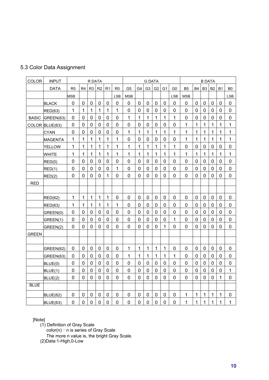| 5.3 Color Data Assignment |  |  |  |  |
|---------------------------|--|--|--|--|
|---------------------------|--|--|--|--|

| COLOR        | <b>INPUT</b>   |                |                | R DATA         |                |                |                  |                |                | <b>G DATA</b>  |                |                |                |                |                  | <b>B DATA</b>  |                  |              |              |
|--------------|----------------|----------------|----------------|----------------|----------------|----------------|------------------|----------------|----------------|----------------|----------------|----------------|----------------|----------------|------------------|----------------|------------------|--------------|--------------|
|              | <b>DATA</b>    | R <sub>5</sub> | R <sub>4</sub> | R <sub>3</sub> | R2             | R <sub>1</sub> | R <sub>0</sub>   | G <sub>5</sub> | G4             | G <sub>3</sub> | G <sub>2</sub> | G <sub>1</sub> | G <sub>0</sub> | B <sub>5</sub> | <b>B4</b>        | B <sub>3</sub> | B <sub>2</sub>   | <b>B1</b>    | B0           |
|              |                | MSB            |                |                |                |                | <b>LSB</b>       | <b>MSB</b>     |                |                |                |                | <b>LSB</b>     | <b>MSB</b>     |                  |                |                  |              | <b>LSB</b>   |
|              | <b>BLACK</b>   | 0              | 0              | 0              | $\mathbf 0$    | 0              | $\mathbf 0$      | 0              | $\mathbf 0$    | $\mathbf 0$    | 0              | 0              | $\mathbf 0$    | $\mathbf 0$    | $\mathbf 0$      | $\mathbf 0$    | 0                | $\mathbf 0$  | 0            |
|              | <b>RED(63)</b> | 1              | 1              | 1              | $\overline{1}$ | $\mathbf{1}$   | $\mathbf{1}$     | $\overline{0}$ | $\overline{0}$ | $\mathbf 0$    | $\overline{0}$ | 0              | $\overline{0}$ | $\overline{0}$ | $\overline{0}$   | $\overline{0}$ | $\overline{0}$   | $\mathbf 0$  | 0            |
| <b>BASIC</b> | GREEN(63)      | $\mathbf 0$    | $\overline{0}$ | $\mathbf 0$    | $\mathbf 0$    | 0              | $\mathbf 0$      | 1              | $\mathbf{1}$   | 1              | $\mathbf{1}$   | 1              | 1              | $\mathbf 0$    | $\mathbf 0$      | $\mathbf 0$    | $\mathbf 0$      | $\mathbf 0$  | $\pmb{0}$    |
|              | COLOR BLUE(63) | $\mathbf 0$    | $\overline{0}$ | $\mathbf 0$    | $\mathbf 0$    | $\mathbf 0$    | $\mathbf 0$      | $\mathbf 0$    | $\mathbf 0$    | $\mathbf 0$    | $\mathbf 0$    | $\mathbf 0$    | $\overline{0}$ | $\mathbf{1}$   | $\mathbf 1$      | $\mathbf 1$    | 1                | 1            | 1            |
|              | <b>CYAN</b>    | 0              | $\mathbf 0$    | $\mathbf 0$    | $\mathbf 0$    | 0              | $\mathbf 0$      | 1              | 1              | 1              | 1              | 1              | 1              | 1              | 1                | $\mathbf{1}$   | 1                | 1            | 1            |
|              | <b>MAGENTA</b> | $\mathbf 1$    | 1              | $\mathbf{1}$   | $\mathbf{1}$   | $\mathbf{1}$   | 1                | $\mathbf 0$    | $\mathbf 0$    | $\mathbf 0$    | $\mathbf 0$    | $\mathbf 0$    | $\pmb{0}$      | $\mathbf{1}$   | $\mathbf 1$      | 1              | $\mathbf 1$      | 1            | 1            |
|              | <b>YELLOW</b>  | 1              | 1              | 1              | 1              | $\mathbf{1}$   | $\mathbf 1$      | 1              | 1              | 1              | 1              | 1              | $\mathbf{1}$   | 0              | $\overline{0}$   | $\overline{0}$ | $\mathbf 0$      | $\mathbf 0$  | 0            |
|              | <b>WHITE</b>   | $\mathbf{1}$   | 1              | $\mathbf 1$    | 1              | $\mathbf{1}$   | 1                | 1              | $\mathbf{1}$   | $\mathbf{1}$   | 1              | 1              | $\mathbf{1}$   | 1              | 1                | 1              | 1                | 1            | $\mathbf{1}$ |
|              | RED(0)         | 0              | 0              | $\mathbf 0$    | $\pmb{0}$      | 0              | $\mathbf 0$      | $\mathbf 0$    | $\mathbf 0$    | $\mathbf 0$    | 0              | $\mathbf 0$    | 0              | 0              | $\boldsymbol{0}$ | $\mathbf 0$    | $\boldsymbol{0}$ | 0            | 0            |
|              | RED(1)         | $\overline{0}$ | $\overline{0}$ | $\mathbf 0$    | $\mathbf 0$    | $\mathbf 0$    | $\mathbf 1$      | $\overline{0}$ | $\overline{0}$ | $\mathbf 0$    | $\overline{0}$ | $\overline{0}$ | $\overline{0}$ | $\overline{0}$ | $\overline{0}$   | $\overline{0}$ | $\overline{0}$   | $\mathbf 0$  | 0            |
|              | RED(2)         | $\mathbf 0$    | $\overline{0}$ | $\mathbf 0$    | $\mathbf 0$    | $\mathbf{1}$   | $\mathbf 0$      | $\mathbf 0$    | $\overline{0}$ | $\mathbf 0$    | $\mathbf 0$    | $\mathbf 0$    | 0              | $\overline{0}$ | $\mathbf 0$      | $\overline{0}$ | $\overline{0}$   | $\mathbf 0$  | $\mathbf 0$  |
| <b>RED</b>   |                |                |                |                |                |                |                  |                |                |                |                |                |                |                |                  |                |                  |              |              |
|              |                |                |                |                |                |                |                  |                |                |                |                |                |                |                |                  |                |                  |              |              |
|              | RED(62)        | $\mathbf 1$    | 1              | $\mathbf 1$    | $\mathbf{1}$   | $\mathbf{1}$   | $\mathbf 0$      | $\mathbf 0$    | $\mathbf 0$    | $\mathbf 0$    | $\mathbf 0$    | $\mathbf 0$    | $\pmb{0}$      | $\mathbf 0$    | $\mathbf 0$      | $\mathbf 0$    | $\pmb{0}$        | $\pmb{0}$    | $\pmb{0}$    |
|              | <b>RED(63)</b> | 1              | 1              | 1              | 1              | $\mathbf{1}$   | $\mathbf{1}$     | $\mathbf 0$    | $\mathbf 0$    | $\mathbf 0$    | $\mathbf 0$    | 0              | $\mathbf 0$    | $\mathbf 0$    | $\overline{0}$   | $\mathbf 0$    | 0                | $\mathbf 0$  | $\pmb{0}$    |
|              | GREEN(0)       | $\mathbf 0$    | $\mathbf 0$    | $\mathbf 0$    | $\mathbf 0$    | 0              | $\mathbf 0$      | $\mathbf 0$    | $\mathbf 0$    | 0              | 0              | 0              | $\overline{0}$ | $\mathbf 0$    | $\mathbf 0$      | $\mathbf 0$    | $\mathbf 0$      | 0            | $\pmb{0}$    |
|              | GREEN(1)       | 0              | 0              | $\mathbf 0$    | $\mathbf 0$    | 0              | $\mathbf 0$      | $\mathbf 0$    | $\mathbf 0$    | 0              | 0              | $\mathbf 0$    | 1              | $\mathbf 0$    | $\mathbf 0$      | $\mathbf 0$    | $\mathbf 0$      | 0            | 0            |
|              | GREEN(2)       | 0              | 0              | $\mathbf 0$    | $\mathbf 0$    | 0              | $\mathbf 0$      | $\mathbf 0$    | $\mathbf 0$    | 0              | $\mathbf 0$    | 1              | 0              | 0              | $\mathbf 0$      | $\mathbf 0$    | $\mathbf 0$      | 0            | 0            |
| <b>GREEN</b> |                |                |                |                |                |                |                  |                |                |                |                |                |                |                |                  |                |                  |              |              |
|              |                |                |                |                |                |                |                  |                |                |                |                |                |                |                |                  |                |                  |              |              |
|              | GREEN(62)      | 0              | 0              | 0              | $\pmb{0}$      | 0              | $\mathbf 0$      | 1              | 1              | 1              | 1              | 1              | 0              | 0              | $\mathbf 0$      | $\mathbf 0$    | 0                | 0            | 0            |
|              | GREEN(63)      | 0              | $\mathbf 0$    | $\mathbf 0$    | $\mathbf 0$    | $\mathbf 0$    | $\overline{0}$   | 1              | $\mathbf{1}$   | $\mathbf{1}$   | 1              | 1              | $\mathbf{1}$   | $\overline{0}$ | $\mathbf 0$      | $\mathbf 0$    | $\mathbf 0$      | $\mathbf 0$  | $\mathbf 0$  |
|              | BLUE(0)        | $\overline{0}$ | $\mathbf 0$    | $\mathbf 0$    | $\mathbf 0$    | 0              | $\mathbf 0$      | $\overline{0}$ | $\mathbf 0$    | $\mathbf 0$    | $\mathbf 0$    | $\mathbf 0$    | 0              | 0              | $\overline{0}$   | $\mathbf 0$    | $\overline{0}$   | $\mathbf 0$  | 0            |
|              | BLUE(1)        | 0              | 0              | $\mathbf 0$    | $\mathbf 0$    | 0              | $\mathbf 0$      | $\mathbf 0$    | $\overline{0}$ | 0              | $\mathbf 0$    | $\mathbf 0$    | 0              | 0              | $\mathbf 0$      | $\overline{0}$ | $\mathbf 0$      | $\mathbf 0$  | 1            |
|              | BLUE(2)        | $\mathbf 0$    | $\mathbf 0$    | $\overline{0}$ | $\mathbf 0$    | $\mathbf 0$    | $\mathbf 0$      | $\mathbf 0$    | $\overline{0}$ | $\mathbf 0$    | $\overline{0}$ | $\mathbf 0$    | 0              | $\mathbf 0$    | $\mathbf 0$      | $\mathbf 0$    | $\mathbf 0$      | $\mathbf{1}$ | 0            |
| <b>BLUE</b>  |                |                |                |                |                |                |                  |                |                |                |                |                |                |                |                  |                |                  |              |              |
|              | BLUE(62)       | 0              | 0              | $\mathbf 0$    | $\pmb{0}$      | 0              | $\boldsymbol{0}$ | 0              | $\mathbf 0$    | $\mathbf 0$    | 0              | $\mathbf 0$    | $\mathbf 0$    | 1              | $\mathbf 1$      | $\mathbf 1$    | 1                | 1            | $\pmb{0}$    |
|              | BLUE(63)       | 0              | $\mathbf 0$    | $\mathbf 0$    | $\mathbf 0$    | $\mathbf 0$    | $\mathbf 0$      | $\mathbf 0$    | $\mathbf 0$    | $\mathbf 0$    | $\mathbf 0$    | $\overline{0}$ | $\mathbf 0$    | 1              | 1                | 1              | 1                | 1            | 1            |

#### [Note]

(1) Definition of Gray Scale

color(n): n is series of Gray Scale

The more n value is, the bright Gray Scale.

(2)Data:1-High,0-Low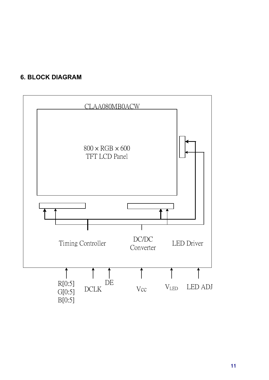# **6. BLOCK DIAGRAM**

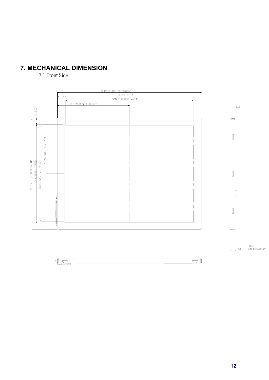# **7. MECHANICAL DIMENSION**

7.1 Front Side



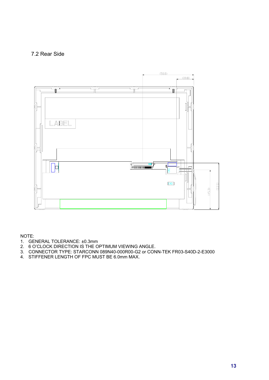#### 7.2 Rear Side



NOTE:

- 1. GENERAL TOLERANCE: ±0.3mm
- 2. 6 O'CLOCK DIRECTION IS THE OPTIMUM VIEWING ANGLE.
- 3. CONNECTOR TYPE: STARCONN 089N40-000R00-G2 or CONN-TEK FR03-S40D-2-E3000
- 4. STIFFENER LENGTH OF FPC MUST BE 6.0mm MAX.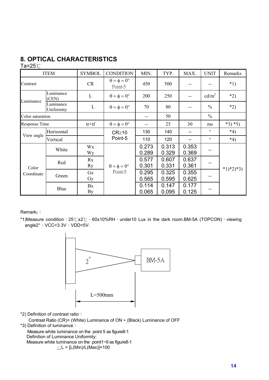# **8. OPTICAL CHARACTERISTICS**

#### Ta= $25^{\circ}$ C

| <b>ITEM</b>      |                         | <b>SYMBOL</b>   | <b>CONDITION</b>                       | MIN.           | TYP.           | MAX.           | <b>UNIT</b>       | Remarks     |
|------------------|-------------------------|-----------------|----------------------------------------|----------------|----------------|----------------|-------------------|-------------|
| Contrast         |                         | <b>CR</b>       | $\theta = \phi = 0^{\circ}$<br>Point-5 | 450            | 500            |                |                   | $*1)$       |
| Luminance        | Luminance<br>(CEN)      | $\mathbf L$     | $\theta = \phi = 0^{\circ}$            | 200            | 250            |                | cd/m <sup>2</sup> | $*2)$       |
|                  | Luminance<br>Uniformity | L               | $\theta = \phi = 0^{\circ}$            | 70             | 80             |                | $\frac{0}{0}$     | $*2)$       |
| Color saturation |                         |                 |                                        |                | 50             |                | $\frac{0}{0}$     |             |
| Response Time    |                         | $tr+tf$         | $\theta = \phi = 0^{\circ}$            |                | 25             | 30             | ms                | $*3)*5)$    |
| View angle       | Horizontal              |                 | $CR \ge 10$                            | 130            | 140            |                | $\circ$           | $*4)$       |
|                  | Vertical                |                 | Point-5                                | 110            | 120            | --             | $\circ$           | $*4)$       |
|                  | White                   | Wx<br>Wy        |                                        | 0.273<br>0.289 | 0.313<br>0.329 | 0.353<br>0.369 |                   |             |
| Color            | Red                     | Rx<br>Ry        | $\theta = \phi = 0^{\circ}$            | 0.577<br>0.301 | 0.607<br>0.331 | 0.637<br>0.361 | --                |             |
| Coordinate       | Green                   | Gx<br>Gy        | Point-5                                | 0.295<br>0.565 | 0.325<br>0.595 | 0.355<br>0.625 |                   | $*1)*2)*3)$ |
|                  | Blue                    | Bx<br><b>By</b> |                                        | 0.114<br>0.065 | 0.147<br>0.095 | 0.177<br>0.125 |                   |             |

Remark<sub>s</sub>:

\*1)Measure condition:  $25^\circ$ C $\pm 2^\circ$ C  $\cdot$  60 $\pm$ 10%RH $\cdot$  under10 Lux in the dark room.BM-5A (TOPCON) $\cdot$  viewing angle $2^\circ \cdot \text{VCC}=3.3\text{V} \cdot \text{VDD}=5\text{V}$ .



\*2) Definition of contrast ratio:

Contrast Ratio (CR)= (White) Luminance of ON ÷ (Black) Luminance of OFF

\*3) Definition of luminance:

Measure white luminance on the point 5 as figure8-1 Definition of Luminance Uniformity: Measure white luminance on the point1~9 as figure8-1  $\triangle L = [L(Min)/L(Max)] \times 100$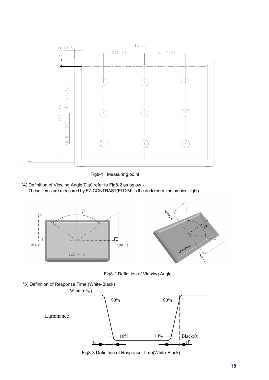

Fig8-1 Measuring point

\*4) Definition of Viewing Angle( $\theta, \psi$ ),refer to Fig8-2 as below : These items are measured by EZ-CONTRAST(ELDIM) in the dark room. (no ambient light).





Fig8-2 Definition of Viewing Angle





Fig8-3 Definition of Response Time(White-Black)